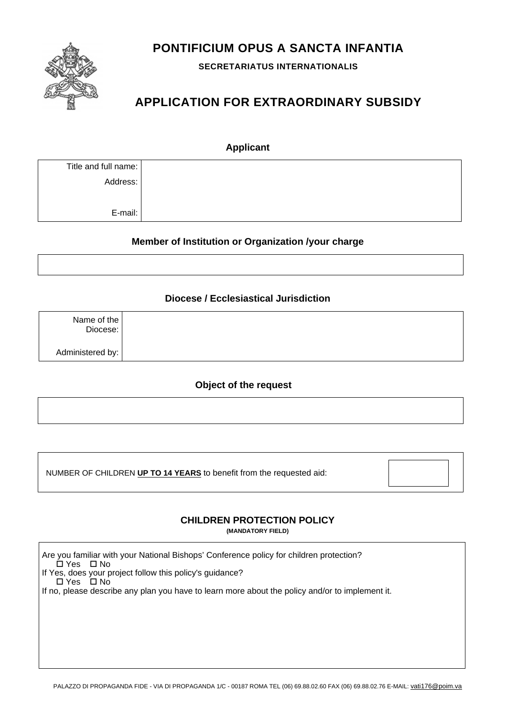

**SECRETARIATUS INTERNATIONALIS** 



# **APPLICATION FOR EXTRAORDINARY SUBSIDY**

| <b>Applicant</b>     |  |  |  |  |
|----------------------|--|--|--|--|
| Title and full name: |  |  |  |  |
| Address:             |  |  |  |  |
| E-mail:              |  |  |  |  |

# **Member of Institution or Organization /your charge**

#### **Diocese / Ecclesiastical Jurisdiction**

| Name of the $ $<br>Diocese: |  |
|-----------------------------|--|
| Administered by:            |  |

### **Object of the request**

NUMBER OF CHILDREN **UP TO 14 YEARS** to benefit from the requested aid:

Are you familiar with your National Bishops' Conference policy for children protection?

 $\Box$  Yes  $\Box$  No

If Yes, does your project follow this policy's guidance?

 $\Box$  Yes  $\Box$  No

If no, please describe any plan you have to learn more about the policy and/or to implement it.

PALAZZO DI PROPAGANDA FIDE - VIA DI PROPAGANDA 1/C - 00187 ROMA TEL (06) 69.88.02.60 FAX (06) 69.88.02.76 E-MAIL: vati176@poim.va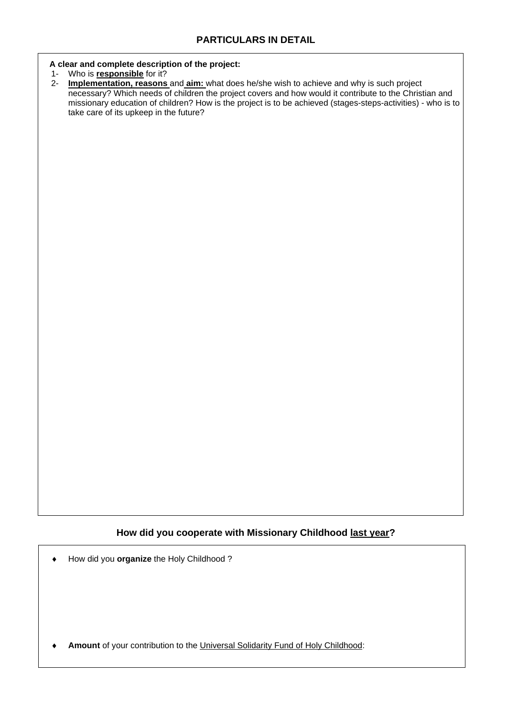#### **A clear and complete description of the project:**

- 1- Who is **responsible** for it?
- 2- **Implementation, reasons** and **aim:** what does he/she wish to achieve and why is such project necessary? Which needs of children the project covers and how would it contribute to the Christian and missionary education of children? How is the project is to be achieved (stages-steps-activities) - who is to take care of its upkeep in the future?

How did you **organize** the Holy Childhood ?

**Amount** of your contribution to the Universal Solidarity Fund of Holy Childhood: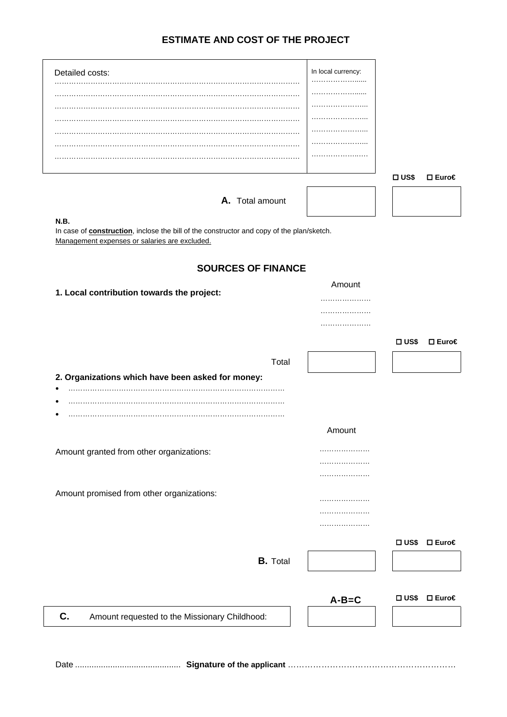# **ESTIMATE AND COST OF THE PROJECT**

| Detailed costs:                                                                                   | In local currency: |             |                      |  |
|---------------------------------------------------------------------------------------------------|--------------------|-------------|----------------------|--|
|                                                                                                   |                    |             |                      |  |
|                                                                                                   |                    |             |                      |  |
|                                                                                                   |                    |             |                      |  |
|                                                                                                   | .                  |             |                      |  |
|                                                                                                   | .                  |             |                      |  |
|                                                                                                   | .                  |             |                      |  |
|                                                                                                   | .                  |             |                      |  |
|                                                                                                   |                    |             |                      |  |
|                                                                                                   |                    | $\Box$ US\$ | $□$ Euro€            |  |
| A. Total amount                                                                                   |                    |             |                      |  |
| N.B.                                                                                              |                    |             |                      |  |
| In case of <b>construction</b> , inclose the bill of the constructor and copy of the plan/sketch. |                    |             |                      |  |
| Management expenses or salaries are excluded.                                                     |                    |             |                      |  |
|                                                                                                   |                    |             |                      |  |
| <b>SOURCES OF FINANCE</b>                                                                         |                    |             |                      |  |
|                                                                                                   | Amount             |             |                      |  |
| 1. Local contribution towards the project:                                                        |                    |             |                      |  |
|                                                                                                   |                    |             |                      |  |
|                                                                                                   |                    |             |                      |  |
|                                                                                                   |                    |             |                      |  |
|                                                                                                   |                    | $\Box$ US\$ | $\square$ Euro $\in$ |  |
|                                                                                                   |                    |             |                      |  |
| Total                                                                                             |                    |             |                      |  |
| 2. Organizations which have been asked for money:                                                 |                    |             |                      |  |
|                                                                                                   |                    |             |                      |  |
| $\bullet$                                                                                         |                    |             |                      |  |
|                                                                                                   |                    |             |                      |  |
|                                                                                                   | Amount             |             |                      |  |
| Amount granted from other organizations:                                                          |                    |             |                      |  |
|                                                                                                   |                    |             |                      |  |
|                                                                                                   |                    |             |                      |  |
|                                                                                                   |                    |             |                      |  |
| Amount promised from other organizations:                                                         |                    |             |                      |  |
|                                                                                                   |                    |             |                      |  |
|                                                                                                   |                    |             |                      |  |

…………………



Date ............................................. **Signature of the applicant** ……………………………………………………